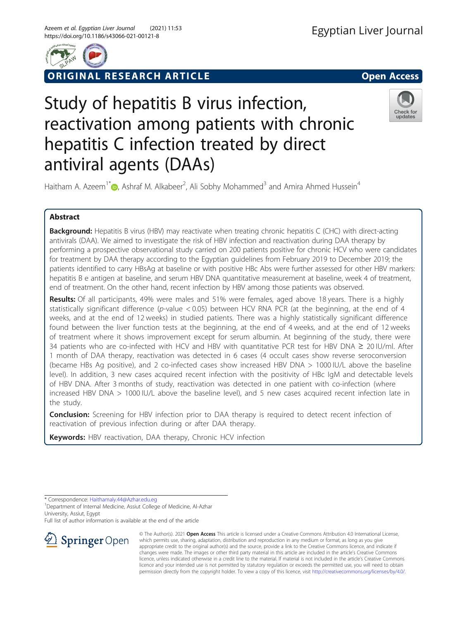

ORIGINAL RESEARCH ARTICLE **Solution Contract Contract Contract Contract Contract Contract Contract Contract Contract Contract Contract Contract Contract Contract Contract Contract Contract Contract Contract Contract Contra** 



# Study of hepatitis B virus infection, reactivation among patients with chronic hepatitis C infection treated by direct antiviral agents (DAAs)



Haitham A. Azeem<sup>1\*</sup> $\textcircled{\tiny D}$ , Ashraf M. Alkabeer<sup>2</sup>, Ali Sobhy Mohammed<sup>3</sup> and Amira Ahmed Hussein<sup>4</sup>

# Abstract

Background: Hepatitis B virus (HBV) may reactivate when treating chronic hepatitis C (CHC) with direct-acting antivirals (DAA). We aimed to investigate the risk of HBV infection and reactivation during DAA therapy by performing a prospective observational study carried on 200 patients positive for chronic HCV who were candidates for treatment by DAA therapy according to the Egyptian guidelines from February 2019 to December 2019; the patients identified to carry HBsAg at baseline or with positive HBc Abs were further assessed for other HBV markers: hepatitis B e antigen at baseline, and serum HBV DNA quantitative measurement at baseline, week 4 of treatment, end of treatment. On the other hand, recent infection by HBV among those patients was observed.

Results: Of all participants, 49% were males and 51% were females, aged above 18 years. There is a highly statistically significant difference (p-value < 0.05) between HCV RNA PCR (at the beginning, at the end of 4 weeks, and at the end of 12 weeks) in studied patients. There was a highly statistically significant difference found between the liver function tests at the beginning, at the end of 4 weeks, and at the end of 12 weeks of treatment where it shows improvement except for serum albumin. At beginning of the study, there were 34 patients who are co-infected with HCV and HBV with quantitative PCR test for HBV DNA ≥ 20 IU/ml. After 1 month of DAA therapy, reactivation was detected in 6 cases (4 occult cases show reverse seroconversion (became HBs Ag positive), and 2 co-infected cases show increased HBV DNA > 1000 IU/L above the baseline level). In addition, 3 new cases acquired recent infection with the positivity of HBc IgM and detectable levels of HBV DNA. After 3 months of study, reactivation was detected in one patient with co-infection (where increased HBV DNA > 1000 IU/L above the baseline level), and 5 new cases acquired recent infection late in the study.

**Conclusion:** Screening for HBV infection prior to DAA therapy is required to detect recent infection of reactivation of previous infection during or after DAA therapy.

Keywords: HBV reactivation, DAA therapy, Chronic HCV infection

\* Correspondence: [Haithamaly.44@Azhar.edu.eg](mailto:Haithamaly.44@Azhar.edu.eg) <sup>1</sup>

<sup>1</sup> Department of Internal Medicine, Assiut College of Medicine, Al-Azhar University, Assiut, Egypt

Full list of author information is available at the end of the article



© The Author(s). 2021 Open Access This article is licensed under a Creative Commons Attribution 4.0 International License, which permits use, sharing, adaptation, distribution and reproduction in any medium or format, as long as you give appropriate credit to the original author(s) and the source, provide a link to the Creative Commons licence, and indicate if changes were made. The images or other third party material in this article are included in the article's Creative Commons licence, unless indicated otherwise in a credit line to the material. If material is not included in the article's Creative Commons licence and your intended use is not permitted by statutory regulation or exceeds the permitted use, you will need to obtain permission directly from the copyright holder. To view a copy of this licence, visit <http://creativecommons.org/licenses/by/4.0/>.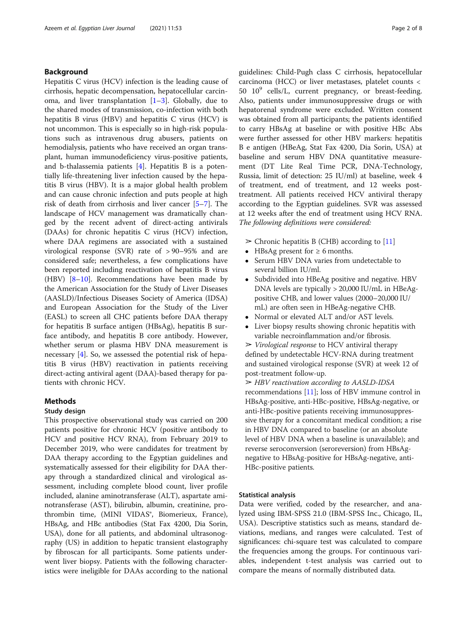## Background

Hepatitis C virus (HCV) infection is the leading cause of cirrhosis, hepatic decompensation, hepatocellular carcinoma, and liver transplantation  $[1-3]$  $[1-3]$  $[1-3]$  $[1-3]$ . Globally, due to the shared modes of transmission, co-infection with both hepatitis B virus (HBV) and hepatitis C virus (HCV) is not uncommon. This is especially so in high-risk populations such as intravenous drug abusers, patients on hemodialysis, patients who have received an organ transplant, human immunodeficiency virus-positive patients, and b-thalassemia patients [[4\]](#page-6-0). Hepatitis B is a potentially life-threatening liver infection caused by the hepatitis B virus (HBV). It is a major global health problem and can cause chronic infection and puts people at high risk of death from cirrhosis and liver cancer [\[5](#page-6-0)–[7](#page-6-0)]. The landscape of HCV management was dramatically changed by the recent advent of direct-acting antivirals (DAAs) for chronic hepatitis C virus (HCV) infection, where DAA regimens are associated with a sustained virological response (SVR) rate of > 90–95% and are considered safe; nevertheless, a few complications have been reported including reactivation of hepatitis B virus (HBV) [[8](#page-6-0)–[10](#page-6-0)]. Recommendations have been made by the American Association for the Study of Liver Diseases (AASLD)/Infectious Diseases Society of America (IDSA) and European Association for the Study of the Liver (EASL) to screen all CHC patients before DAA therapy for hepatitis B surface antigen (HBsAg), hepatitis B surface antibody, and hepatitis B core antibody. However, whether serum or plasma HBV DNA measurement is necessary  $[4]$  $[4]$ . So, we assessed the potential risk of hepatitis B virus (HBV) reactivation in patients receiving direct-acting antiviral agent (DAA)-based therapy for patients with chronic HCV.

# **Methods**

## Study design

This prospective observational study was carried on 200 patients positive for chronic HCV (positive antibody to HCV and positive HCV RNA), from February 2019 to December 2019, who were candidates for treatment by DAA therapy according to the Egyptian guidelines and systematically assessed for their eligibility for DAA therapy through a standardized clinical and virological assessment, including complete blood count, liver profile included, alanine aminotransferase (ALT), aspartate aminotransferase (AST), bilirubin, albumin, creatinine, prothrombin time, (MINI VIDAS®, Biomerieux, France), HBsAg, and HBc antibodies (Stat Fax 4200, Dia Sorin, USA), done for all patients, and abdominal ultrasonography (US) in addition to hepatic transient elastography by fibroscan for all participants. Some patients underwent liver biopsy. Patients with the following characteristics were ineligible for DAAs according to the national guidelines: Child-Pugh class C cirrhosis, hepatocellular carcinoma (HCC) or liver metastases, platelet counts < 50  $10^9$  cells/L, current pregnancy, or breast-feeding. Also, patients under immunosuppressive drugs or with hepatorenal syndrome were excluded. Written consent was obtained from all participants; the patients identified to carry HBsAg at baseline or with positive HBc Abs were further assessed for other HBV markers: hepatitis B e antigen (HBeAg, Stat Fax 4200, Dia Sorin, USA) at baseline and serum HBV DNA quantitative measurement (DT Lite Real Time PCR, DNA-Technology, Russia, limit of detection: 25 IU/ml) at baseline, week 4 of treatment, end of treatment, and 12 weeks posttreatment. All patients received HCV antiviral therapy according to the Egyptian guidelines. SVR was assessed at 12 weeks after the end of treatment using HCV RNA. The following definitions were considered:

- $\triangleright$  Chronic hepatitis B (CHB) according to [[11](#page-6-0)]
- HBsAg present for  $\geq 6$  months.
- Serum HBV DNA varies from undetectable to several billion IU/ml.
- Subdivided into HBeAg positive and negative. HBV DNA levels are typically > 20,000 IU/mL in HBeAgpositive CHB, and lower values (2000–20,000 IU/ mL) are often seen in HBeAg-negative CHB.
- Normal or elevated ALT and/or AST levels.
- Liver biopsy results showing chronic hepatitis with variable necroinflammation and/or fibrosis.

 $\triangleright$  Virological response to HCV antiviral therapy defined by undetectable HCV-RNA during treatment and sustained virological response (SVR) at week 12 of post-treatment follow-up.

➢ HBV reactivation according to AASLD-IDSA recommendations [[11\]](#page-6-0); loss of HBV immune control in HBsAg-positive, anti-HBc-positive, HBsAg-negative, or anti-HBc-positive patients receiving immunosuppressive therapy for a concomitant medical condition; a rise in HBV DNA compared to baseline (or an absolute level of HBV DNA when a baseline is unavailable); and reverse seroconversion (seroreversion) from HBsAgnegative to HBsAg-positive for HBsAg-negative, anti-HBc-positive patients.

#### Statistical analysis

Data were verified, coded by the researcher, and analyzed using IBM-SPSS 21.0 (IBM-SPSS Inc., Chicago, IL, USA). Descriptive statistics such as means, standard deviations, medians, and ranges were calculated. Test of significances: chi-square test was calculated to compare the frequencies among the groups. For continuous variables, independent t-test analysis was carried out to compare the means of normally distributed data.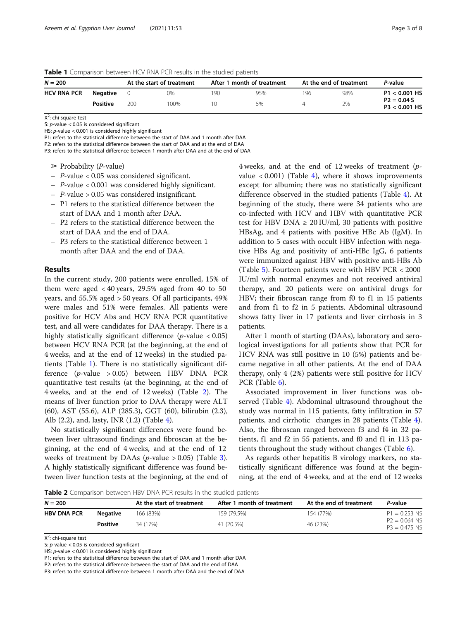Table 1 Comparison between HCV RNA PCR results in the studied patients

| $N = 200$          |                 | At the start of treatment |     | After 1 month of treatment |     | At the end of treatment |     | P-value                          |  |
|--------------------|-----------------|---------------------------|-----|----------------------------|-----|-------------------------|-----|----------------------------------|--|
| <b>HCV RNA PCR</b> | Negative        |                           | 0%  | 190                        | 95% | 196                     | 98% | $P1 < 0.001$ HS                  |  |
|                    | <b>Positive</b> | 200                       | 00% |                            | 5%  |                         | 2%  | $P2 = 0.04 S$<br>$P3 < 0.001$ HS |  |

X<sup>2</sup>: chi-square test

S:  $p$ -value < 0.05 is considered significant

HS: p-value < 0.001 is considered highly significant

P1: refers to the statistical difference between the start of DAA and 1 month after DAA

P2: refers to the statistical difference between the start of DAA and at the end of DAA

P3: refers to the statistical difference between 1 month after DAA and at the end of DAA

- $\triangleright$  Probability (*P*-value)
- P-value < 0.05 was considered significant.
- P-value < 0.001 was considered highly significant.
- P-value > 0.05 was considered insignificant.
- P1 refers to the statistical difference between the start of DAA and 1 month after DAA.
- P2 refers to the statistical difference between the start of DAA and the end of DAA.
- P3 refers to the statistical difference between 1 month after DAA and the end of DAA.

## Results

In the current study, 200 patients were enrolled, 15% of them were aged  $< 40$  years, 29.5% aged from 40 to 50 years, and 55.5% aged > 50 years. Of all participants, 49% were males and 51% were females. All patients were positive for HCV Abs and HCV RNA PCR quantitative test, and all were candidates for DAA therapy. There is a highly statistically significant difference ( $p$ -value < 0.05) between HCV RNA PCR (at the beginning, at the end of 4 weeks, and at the end of 12 weeks) in the studied patients (Table 1). There is no statistically significant difference (p-value > 0.05) between HBV DNA PCR quantitative test results (at the beginning, at the end of 4 weeks, and at the end of 12 weeks) (Table 2). The means of liver function prior to DAA therapy were ALT (60), AST (55.6), ALP (285.3), GGT (60), bilirubin (2.3), Alb (2.2), and, lasty, INR (1.2) (Table [4](#page-3-0)).

No statistically significant differences were found between liver ultrasound findings and fibroscan at the beginning, at the end of 4 weeks, and at the end of 12 weeks of treatment by DAAs ( $p$ -value > 0.05) (Table [3](#page-3-0)). A highly statistically significant difference was found between liver function tests at the beginning, at the end of 4 weeks, and at the end of 12 weeks of treatment (pvalue  $\langle 0.001 \rangle$  (Table [4](#page-3-0)), where it shows improvements except for albumin; there was no statistically significant difference observed in the studied patients (Table [4\)](#page-3-0). At beginning of the study, there were 34 patients who are co-infected with HCV and HBV with quantitative PCR test for HBV DNA  $\geq 20$  IU/ml, 30 patients with positive HBsAg, and 4 patients with positive HBc Ab (IgM). In addition to 5 cases with occult HBV infection with negative HBs Ag and positivity of anti-HBc IgG, 6 patients were immunized against HBV with positive anti-HBs Ab (Table [5\)](#page-4-0). Fourteen patients were with HBV PCR < 2000 IU/ml with normal enzymes and not received antiviral therapy, and 20 patients were on antiviral drugs for HBV; their fibroscan range from f0 to f1 in 15 patients and from f1 to f2 in 5 patients. Abdominal ultrasound shows fatty liver in 17 patients and liver cirrhosis in 3 patients.

After 1 month of starting (DAAs), laboratory and serological investigations for all patients show that PCR for HCV RNA was still positive in 10 (5%) patients and became negative in all other patients. At the end of DAA therapy, only 4 (2%) patients were still positive for HCV PCR (Table [6\)](#page-4-0).

Associated improvement in liver functions was observed (Table [4](#page-3-0)). Abdominal ultrasound throughout the study was normal in 115 patients, fatty infiltration in 57 patients, and cirrhotic changes in 28 patients (Table [4](#page-3-0)). Also, the fibroscan ranged between f3 and f4 in 32 patients, f1 and f2 in 55 patients, and f0 and f1 in 113 patients throughout the study without changes (Table [6\)](#page-4-0).

As regards other hepatitis B virology markers, no statistically significant difference was found at the beginning, at the end of 4 weeks, and at the end of 12 weeks

Table 2 Comparison between HBV DNA PCR results in the studied patients

| $N = 200$          |                 | At the start of treatment | After 1 month of treatment | At the end of treatment | P-value                            |
|--------------------|-----------------|---------------------------|----------------------------|-------------------------|------------------------------------|
| <b>HBV DNA PCR</b> | Negative        | 166 (83%)                 | 159 (79.5%)                | 154 (77%)               | $P1 = 0.253$ NS                    |
|                    | <b>Positive</b> | 34 (17%)                  | 41 (20.5%)                 | 46 (23%)                | $P2 = 0.064$ NS<br>$P3 = 0.475 NS$ |

X<sup>2</sup>: chi-square test

S: p-value < 0.05 is considered significant

HS: p-value < 0.001 is considered highly significant

P1: refers to the statistical difference between the start of DAA and 1 month after DAA

P2: refers to the statistical difference between the start of DAA and the end of DAA

P3: refers to the statistical difference between 1 month after DAA and the end of DAA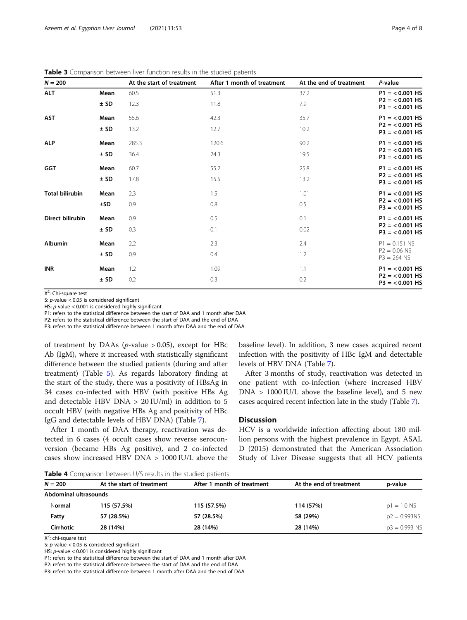| $N = 200$              |        | At the start of treatment | After 1 month of treatment | At the end of treatment | P-value                                |
|------------------------|--------|---------------------------|----------------------------|-------------------------|----------------------------------------|
| <b>ALT</b>             | Mean   | 60.5                      | 51.3                       | 37.2                    | $P1 = 0.001$ HS                        |
|                        | ± SD   | 12.3                      | 11.8                       | 7.9                     | $P2 = < 0.001$ HS<br>$P3 = < 0.001$ HS |
| <b>AST</b>             | Mean   | 55.6                      | 42.3                       | 35.7                    | $P1 = < 0.001$ HS                      |
|                        | $±$ SD | 13.2                      | 12.7                       | 10.2                    | $P2 = < 0.001$ HS<br>$P3 = < 0.001$ HS |
| <b>ALP</b>             | Mean   | 285.3                     | 120.6                      | 90.2                    | $P1 = < 0.001$ HS                      |
|                        | ± SD   | 36.4                      | 24.3                       | 19.5                    | $P2 = < 0.001$ HS<br>$P3 = < 0.001$ HS |
| <b>GGT</b>             | Mean   | 60.7                      | 55.2                       | 25.8                    | $P1 = < 0.001$ HS                      |
|                        | ± SD   | 17.8                      | 15.5                       | 13.2                    | $P2 = 0.001$ HS<br>$P3 = < 0.001$ HS   |
| <b>Total bilirubin</b> | Mean   | 2.3                       | 1.5                        | 1.01                    | $P1 = < 0.001$ HS                      |
|                        | ±SD    | 0.9                       | 0.8                        | 0.5                     | $P2 = < 0.001$ HS<br>$P3 = < 0.001$ HS |
| Direct bilirubin       | Mean   | 0.9                       | 0.5                        | 0.1                     | $P1 = < 0.001$ HS                      |
|                        | $±$ SD | 0.3                       | 0.1                        | 0.02                    | $P2 = < 0.001$ HS<br>$P3 = < 0.001$ HS |
| <b>Albumin</b>         | Mean   | 2.2                       | 2.3                        | 2.4                     | $P1 = 0.151$ NS                        |
|                        | $±$ SD | 0.9                       | 0.4                        | 1.2                     | $P2 = 0.06$ NS<br>$P3 = 264$ NS        |
| <b>INR</b>             | Mean   | 1.2                       | 1.09                       | 1.1                     | $P1 = < 0.001$ HS                      |
|                        | ± SD   | 0.2                       | 0.3                        | 0.2                     | $P2 = < 0.001$ HS<br>$P3 = < 0.001$ HS |

<span id="page-3-0"></span>Table 3 Comparison between liver function results in the studied patients

X<sup>2</sup>: Chi-square test

S: p-value < 0.05 is considered significant

HS:  $p$ -value < 0.001 is considered highly significant

P1: refers to the statistical difference between the start of DAA and 1 month after DAA

P2: refers to the statistical difference between the start of DAA and the end of DAA

P3: refers to the statistical difference between 1 month after DAA and the end of DAA

of treatment by DAAs ( $p$ -value > 0.05), except for HBc Ab (IgM), where it increased with statistically significant difference between the studied patients (during and after treatment) (Table [5](#page-4-0)). As regards laboratory finding at the start of the study, there was a positivity of HBsAg in 34 cases co-infected with HBV (with positive HBs Ag and detectable HBV DNA > 20 IU/ml) in addition to 5 occult HBV (with negative HBs Ag and positivity of HBc IgG and detectable levels of HBV DNA) (Table [7\)](#page-5-0).

After 1 month of DAA therapy, reactivation was detected in 6 cases (4 occult cases show reverse seroconversion (became HBs Ag positive), and 2 co-infected cases show increased HBV DNA > 1000 IU/L above the

baseline level). In addition, 3 new cases acquired recent infection with the positivity of HBc IgM and detectable levels of HBV DNA (Table [7](#page-5-0)).

After 3 months of study, reactivation was detected in one patient with co-infection (where increased HBV  $DNA > 1000$  IU/L above the baseline level), and 5 new cases acquired recent infection late in the study (Table [7\)](#page-5-0).

## Discussion

HCV is a worldwide infection affecting about 180 million persons with the highest prevalence in Egypt. ASAL D (2015) demonstrated that the American Association Study of Liver Disease suggests that all HCV patients

Table 4 Comparison between U/S results in the studied patients

| $N = 200$             | At the start of treatment | After 1 month of treatment | At the end of treatment | p-value         |  |  |  |  |
|-----------------------|---------------------------|----------------------------|-------------------------|-----------------|--|--|--|--|
| Abdominal ultrasounds |                           |                            |                         |                 |  |  |  |  |
| Normal                | 115 (57.5%)               | 115 (57.5%)                | 114 (57%)               | $p1 = 1.0$ NS   |  |  |  |  |
| Fatty                 | 57 (28.5%)                | 57 (28.5%)                 | 58 (29%)                | $p2 = 0.993NS$  |  |  |  |  |
| Cirrhotic             | 28 (14%)                  | 28 (14%)                   | 28 (14%)                | $p3 = 0.993$ NS |  |  |  |  |

X<sup>2</sup>: chi-square test

S: p-value < 0.05 is considered significant

HS: p-value < 0.001 is considered highly significant

P1: refers to the statistical difference between the start of DAA and 1 month after DAA

P2: refers to the statistical difference between the start of DAA and the end of DAA

P3: refers to the statistical difference between 1 month after DAA and the end of DAA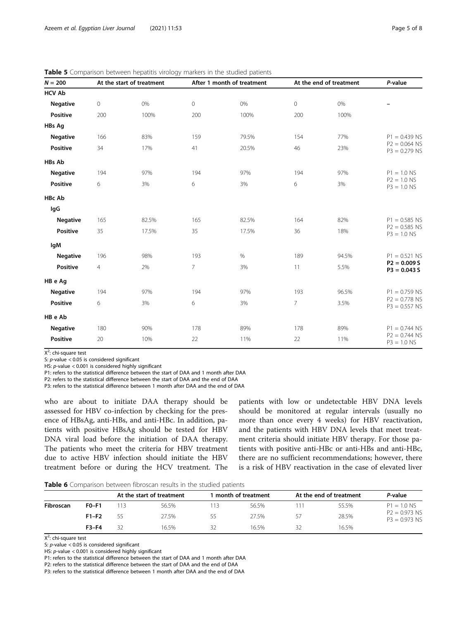| $N = 200$       |                     | At the start of treatment |                     | After 1 month of treatment |                | At the end of treatment | P-value                            |
|-----------------|---------------------|---------------------------|---------------------|----------------------------|----------------|-------------------------|------------------------------------|
| <b>HCV Ab</b>   |                     |                           |                     |                            |                |                         |                                    |
| <b>Negative</b> | $\mathsf{O}\xspace$ | 0%                        | $\mathsf{O}\xspace$ | 0%                         | $\mathbf 0$    | 0%                      |                                    |
| <b>Positive</b> | 200                 | 100%                      | 200                 | 100%                       | 200            | 100%                    |                                    |
| HBs Ag          |                     |                           |                     |                            |                |                         |                                    |
| <b>Negative</b> | 166                 | 83%                       | 159                 | 79.5%                      | 154            | 77%                     | $P1 = 0.439$ NS                    |
| <b>Positive</b> | 34                  | 17%                       | 41                  | 20.5%                      | 46             | 23%                     | $P2 = 0.064$ NS<br>$P3 = 0.279$ NS |
| HBs Ab          |                     |                           |                     |                            |                |                         |                                    |
| <b>Negative</b> | 194                 | 97%                       | 194                 | 97%                        | 194            | 97%                     | $P1 = 1.0$ NS                      |
| <b>Positive</b> | 6                   | 3%                        | 6                   | 3%                         | 6              | 3%                      | $P2 = 1.0$ NS<br>$P3 = 1.0$ NS     |
| <b>HBc Ab</b>   |                     |                           |                     |                            |                |                         |                                    |
| lgG             |                     |                           |                     |                            |                |                         |                                    |
| <b>Negative</b> | 165                 | 82.5%                     | 165                 | 82.5%                      | 164            | 82%                     | $P1 = 0.585$ NS                    |
| <b>Positive</b> | 35                  | 17.5%                     | 35                  | 17.5%                      | 36             | 18%                     | $P2 = 0.585$ NS<br>$P3 = 1.0$ NS   |
| lgM             |                     |                           |                     |                            |                |                         |                                    |
| <b>Negative</b> | 196                 | 98%                       | 193                 | $\%$                       | 189            | 94.5%                   | $P1 = 0.521$ NS                    |
| Positive        | 4                   | 2%                        | $\overline{7}$      | 3%                         | 11             | 5.5%                    | $P2 = 0.009 S$<br>$P3 = 0.043 S$   |
| HB e Ag         |                     |                           |                     |                            |                |                         |                                    |
| <b>Negative</b> | 194                 | 97%                       | 194                 | 97%                        | 193            | 96.5%                   | $P1 = 0.759$ NS                    |
| <b>Positive</b> | 6                   | 3%                        | 6                   | 3%                         | $\overline{7}$ | 3.5%                    | $P2 = 0.778$ NS<br>$P3 = 0.557$ NS |
| HB e Ab         |                     |                           |                     |                            |                |                         |                                    |
| <b>Negative</b> | 180                 | 90%                       | 178                 | 89%                        | 178            | 89%                     | $P1 = 0.744$ NS                    |
| Positive        | 20                  | 10%                       | 22                  | 11%                        | 22             | 11%                     | $P2 = 0.744$ NS<br>$P3 = 1.0$ NS   |

<span id="page-4-0"></span>**Table 5** Comparison between hepatitis virology markers in the studied patients

X<sup>2</sup>: chi-square test

S:  $p$ -value < 0.05 is considered significant

HS: p-value < 0.001 is considered highly significant P1: refers to the statistical difference between the start of DAA and 1 month after DAA

P2: refers to the statistical difference between the start of DAA and the end of DAA

P3: refers to the statistical difference between 1 month after DAA and the end of DAA

who are about to initiate DAA therapy should be assessed for HBV co-infection by checking for the presence of HBsAg, anti-HBs, and anti-HBc. In addition, patients with positive HBsAg should be tested for HBV DNA viral load before the initiation of DAA therapy. The patients who meet the criteria for HBV treatment due to active HBV infection should initiate the HBV treatment before or during the HCV treatment. The

patients with low or undetectable HBV DNA levels should be monitored at regular intervals (usually no more than once every 4 weeks) for HBV reactivation, and the patients with HBV DNA levels that meet treatment criteria should initiate HBV therapy. For those patients with positive anti-HBc or anti-HBs and anti-HBc, there are no sufficient recommendations; however, there is a risk of HBV reactivation in the case of elevated liver

**Table 6** Comparison between fibroscan results in the studied patients

|           |         |       | At the start of treatment |    | month of treatment |    | At the end of treatment | P-value                            |
|-----------|---------|-------|---------------------------|----|--------------------|----|-------------------------|------------------------------------|
| Fibroscan | $F0-F1$ | l 1 3 | 56.5%                     | 13 | 56.5%              |    | 55.5%                   | $P1 = 1.0$ NS                      |
|           | $F1-F2$ |       | 27.5%                     |    | 27.5%              | 57 | 28.5%                   | $P2 = 0.973$ NS<br>$P3 = 0.973$ NS |
|           | $F3-F4$ | 32    | 16.5%                     | 32 | 16.5%              | 32 | 16.5%                   |                                    |

X<sup>2</sup>: chi-square test

S: p-value < 0.05 is considered significant

HS: p-value < 0.001 is considered highly significant

P1: refers to the statistical difference between the start of DAA and 1 month after DAA

P2: refers to the statistical difference between the start of DAA and the end of DAA

P3: refers to the statistical difference between 1 month after DAA and the end of DAA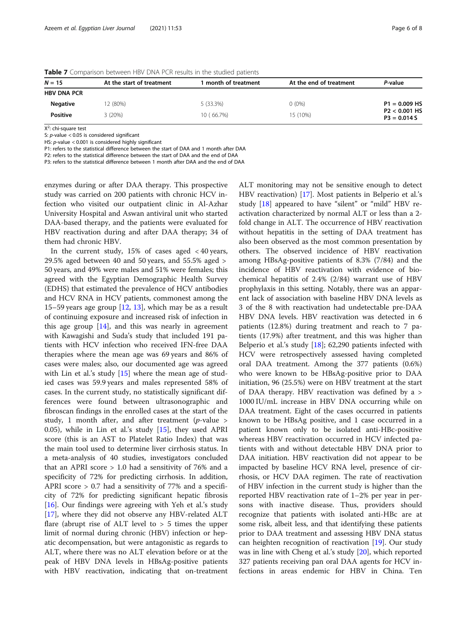| $N = 15$           | At the start of treatment | month of treatment | At the end of treatment | P-value                          |
|--------------------|---------------------------|--------------------|-------------------------|----------------------------------|
| <b>HBV DNA PCR</b> |                           |                    |                         |                                  |
| <b>Negative</b>    | 2(80%)                    | 5(33.3%)           | $0(0\%)$                | $P1 = 0.009$ HS                  |
| <b>Positive</b>    | 3(20%)                    | 10 (66.7%)         | 15 (10%)                | $P2 < 0.001$ HS<br>$P3 = 0.014S$ |

<span id="page-5-0"></span>Table 7 Comparison between HBV DNA PCR results in the studied patients

X<sup>2</sup>: chi-square test

S: p-value < 0.05 is considered significant

HS: p-value < 0.001 is considered highly significant

P1: refers to the statistical difference between the start of DAA and 1 month after DAA

P2: refers to the statistical difference between the start of DAA and the end of DAA

P3: refers to the statistical difference between 1 month after DAA and the end of DAA

enzymes during or after DAA therapy. This prospective study was carried on 200 patients with chronic HCV infection who visited our outpatient clinic in Al-Azhar University Hospital and Aswan antiviral unit who started DAA-based therapy, and the patients were evaluated for HBV reactivation during and after DAA therapy; 34 of them had chronic HBV.

In the current study, 15% of cases aged < 40 years, 29.5% aged between 40 and 50 years, and 55.5% aged > 50 years, and 49% were males and 51% were females; this agreed with the Egyptian Demographic Health Survey (EDHS) that estimated the prevalence of HCV antibodies and HCV RNA in HCV patients, commonest among the 15–59 years age group [[12,](#page-6-0) [13\]](#page-6-0), which may be as a result of continuing exposure and increased risk of infection in this age group [\[14](#page-6-0)], and this was nearly in agreement with Kawagishi and Suda's study that included 191 patients with HCV infection who received IFN-free DAA therapies where the mean age was 69 years and 86% of cases were males; also, our documented age was agreed with Lin et al.'s study  $[15]$  $[15]$  $[15]$  where the mean age of studied cases was 59.9 years and males represented 58% of cases. In the current study, no statistically significant differences were found between ultrasonographic and fibroscan findings in the enrolled cases at the start of the study, 1 month after, and after treatment ( $p$ -value > 0.05), while in Lin et al.'s study [\[15\]](#page-6-0), they used APRI score (this is an AST to Platelet Ratio Index) that was the main tool used to determine liver cirrhosis status. In a meta-analysis of 40 studies, investigators concluded that an APRI score > 1.0 had a sensitivity of 76% and a specificity of 72% for predicting cirrhosis. In addition, APRI score > 0.7 had a sensitivity of 77% and a specificity of 72% for predicting significant hepatic fibrosis [[16\]](#page-6-0). Our findings were agreeing with Yeh et al.'s study [[17\]](#page-7-0), where they did not observe any HBV-related ALT flare (abrupt rise of ALT level to > 5 times the upper limit of normal during chronic (HBV) infection or hepatic decompensation, but were antagonistic as regards to ALT, where there was no ALT elevation before or at the peak of HBV DNA levels in HBsAg-positive patients with HBV reactivation, indicating that on-treatment

ALT monitoring may not be sensitive enough to detect HBV reactivation) [[17\]](#page-7-0). Most patients in Belperio et al.'s study [[18\]](#page-7-0) appeared to have "silent" or "mild" HBV reactivation characterized by normal ALT or less than a 2 fold change in ALT. The occurrence of HBV reactivation without hepatitis in the setting of DAA treatment has also been observed as the most common presentation by others. The observed incidence of HBV reactivation among HBsAg-positive patients of 8.3% (7/84) and the incidence of HBV reactivation with evidence of biochemical hepatitis of 2.4% (2/84) warrant use of HBV prophylaxis in this setting. Notably, there was an apparent lack of association with baseline HBV DNA levels as 3 of the 8 with reactivation had undetectable pre-DAA HBV DNA levels. HBV reactivation was detected in 6 patients (12.8%) during treatment and reach to 7 patients (17.9%) after treatment, and this was higher than Belperio et al.'s study  $[18]$ ; 62,290 patients infected with HCV were retrospectively assessed having completed oral DAA treatment. Among the 377 patients (0.6%) who were known to be HBsAg-positive prior to DAA initiation, 96 (25.5%) were on HBV treatment at the start of DAA therapy. HBV reactivation was defined by a > 1000 IU/mL increase in HBV DNA occurring while on DAA treatment. Eight of the cases occurred in patients known to be HBsAg positive, and 1 case occurred in a patient known only to be isolated anti-HBc-positive whereas HBV reactivation occurred in HCV infected patients with and without detectable HBV DNA prior to DAA initiation. HBV reactivation did not appear to be impacted by baseline HCV RNA level, presence of cirrhosis, or HCV DAA regimen. The rate of reactivation of HBV infection in the current study is higher than the reported HBV reactivation rate of 1–2% per year in persons with inactive disease. Thus, providers should recognize that patients with isolated anti-HBc are at some risk, albeit less, and that identifying these patients prior to DAA treatment and assessing HBV DNA status can heighten recognition of reactivation [[19\]](#page-7-0). Our study was in line with Cheng et al.'s study [\[20\]](#page-7-0), which reported 327 patients receiving pan oral DAA agents for HCV infections in areas endemic for HBV in China. Ten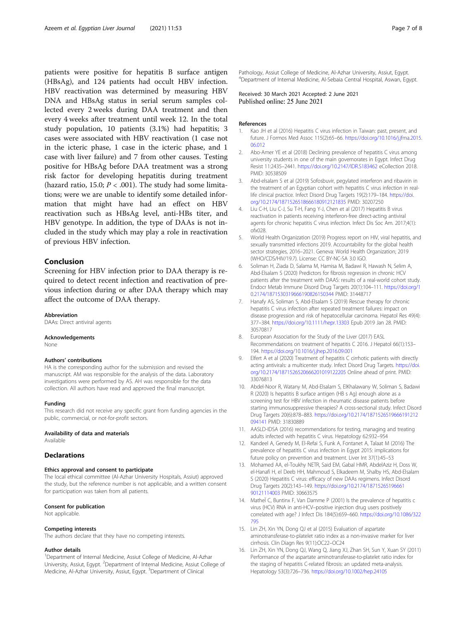<span id="page-6-0"></span>patients were positive for hepatitis B surface antigen (HBsAg), and 124 patients had occult HBV infection. HBV reactivation was determined by measuring HBV DNA and HBsAg status in serial serum samples collected every 2 weeks during DAA treatment and then every 4 weeks after treatment until week 12. In the total study population, 10 patients (3.1%) had hepatitis; 3 cases were associated with HBV reactivation (1 case not in the icteric phase, 1 case in the icteric phase, and 1 case with liver failure) and 7 from other causes. Testing positive for HBsAg before DAA treatment was a strong risk factor for developing hepatitis during treatment (hazard ratio, 15.0;  $P < .001$ ). The study had some limitations; were we are unable to identify some detailed information that might have had an effect on HBV reactivation such as HBsAg level, anti-HBs titer, and HBV genotype. In addition, the type of DAAs is not included in the study which may play a role in reactivation of previous HBV infection.

## Conclusion

Screening for HBV infection prior to DAA therapy is required to detect recent infection and reactivation of previous infection during or after DAA therapy which may affect the outcome of DAA therapy.

#### Abbreviation

DAAs: Direct antiviral agents

#### Acknowledgements

None

#### Authors' contributions

HA is the corresponding author for the submission and revised the manuscript. AM was responsible for the analysis of the data. Laboratory investigations were performed by AS. AH was responsible for the data collection. All authors have read and approved the final manuscript.

#### Funding

This research did not receive any specific grant from funding agencies in the public, commercial, or not-for-profit sectors.

#### Availability of data and materials

Available

#### **Declarations**

#### Ethics approval and consent to participate

The local ethical committee (Al-Azhar University Hospitals, Assiut) approved the study, but the reference number is not applicable, and a written consent for participation was taken from all patients.

#### Consent for publication

Not applicable.

#### Competing interests

The authors declare that they have no competing interests.

#### Author details

<sup>1</sup>Department of Internal Medicine, Assiut College of Medicine, Al-Azhar University, Assiut, Egypt. <sup>2</sup>Department of Internal Medicine, Assiut College of Medicine, Al-Azhar University, Assiut, Egypt. <sup>3</sup>Department of Clinical

Pathology, Assiut College of Medicine, Al-Azhar University, Assiut, Egypt. 4 Department of Internal Medicine, Al-Sebaia Central Hospital, Aswan, Egypt.

Received: 30 March 2021 Accepted: 2 June 2021<br>Published online: 25 June 2021

#### References

- 1. Kao JH et al (2016) Hepatitis C virus infection in Taiwan: past, present, and future. J Formos Med Assoc 115(2):65–66. [https://doi.org/10.1016/j.jfma.2015.](https://doi.org/10.1016/j.jfma.2015.06.012) [06.012](https://doi.org/10.1016/j.jfma.2015.06.012)
- 2. Abo-Amer YE et al (2018) Declining prevalence of hepatitis C virus among university students in one of the main governorates in Egypt. Infect Drug Resist 11:2435–2441. <https://doi.org/10.2147/IDR.S183462> eCollection 2018. PMID: 30538509
- 3. Abd-elsalam S et al (2019) Sofosbuvir, pegylated interferon and ribavirin in the treatment of an Egyptian cohort with hepatitis C virus infection in reallife clinical practice. Infect Disord Drug Targets 19(2):179–184. [https://doi.](https://doi.org/10.2174/1871526518666180912121835) [org/10.2174/1871526518666180912121835](https://doi.org/10.2174/1871526518666180912121835) PMID: 30207250
- 4. Liu C-H, Liu C-J, Su T-H, Fang Y-J, Chen et al (2017) Hepatitis B virus reactivation in patients receiving interferon-free direct-acting antiviral agents for chronic hepatitis C virus infection. Infect Dis Soc Am. 2017;4(1):  $ofx028$
- 5. World Health Organization (2019) Progress report on HIV, viral hepatitis, and sexually transmitted infections 2019. Accountability for the global health sector strategies, 2016–2021. Geneva: World Health Organization; 2019 (WHO/CDS/HIV/19.7). License: CC BY-NC-SA 3.0 IGO.
- 6. Soliman H, Ziada D, Salama M, Hamisa M, Badawi R, Hawash N, Selim A, Abd-Elsalam S (2020) Predictors for fibrosis regression in chronic HCV patients after the treatment with DAAS: results of a real-world cohort study. Endocr Metab Immune Disord Drug Targets 20(1):104–111. [https://doi.org/1](https://doi.org/10.2174/1871530319666190826150344) [0.2174/1871530319666190826150344](https://doi.org/10.2174/1871530319666190826150344) PMID: 31448717
- Hanafy AS, Soliman S, Abd-Elsalam S (2019) Rescue therapy for chronic hepatitis C virus infection after repeated treatment failures: impact on disease progression and risk of hepatocellular carcinoma. Hepatol Res 49(4): 377–384. <https://doi.org/10.1111/hepr.13303> Epub 2019 Jan 28. PMID: 30570817
- 8. European Association for the Study of the Liver (2017) EASL Recommendations on treatment of hepatitis C 2016. J Hepatol 66(1):153– 194. <https://doi.org/10.1016/j.jhep.2016.09.001>
- 9. Elfert A et al (2020) Treatment of hepatitis C cirrhotic patients with directly acting antivirals: a multicenter study. Infect Disord Drug Targets. [https://doi.](https://doi.org/10.2174/1871526520666201019122205) [org/10.2174/1871526520666201019122205](https://doi.org/10.2174/1871526520666201019122205) Online ahead of print. PMID: 33076813
- 10. Abdel-Noor R, Watany M, Abd-Elsalam S, ElKhalawany W, Soliman S, Badawi R (2020) Is hepatitis B surface antigen (HB s Ag) enough alone as a screening test for HBV infection in rheumatic disease patients before starting immunosuppressive therapies? A cross-sectional study. Infect Disord Drug Targets 20(6):878–883. [https://doi.org/10.2174/1871526519666191212](https://doi.org/10.2174/1871526519666191212094141) [094141](https://doi.org/10.2174/1871526519666191212094141) PMID: 31830889
- 11. AASLD-IDSA (2016) recommendations for testing, managing and treating adults infected with hepatitis C virus. Hepatology 62:932–954
- 12. Kandeel A, Genedy M, El-Refai S, Funk A, Fontanet A, Talaat M (2016) The prevalence of hepatitis C virus infection in Egypt 2015: implications for future policy on prevention and treatment. Liver Int 37(1):45–53
- 13. Mohamed AA, el-Toukhy NETR, Said EM, Gabal HMR, AbdelAziz H, Doss W, el-Hanafi H, el Deeb HH, Mahmoud S, Elkadeem M, Shalby HS, Abd-Elsalam S (2020) Hepatitis C virus: efficacy of new DAAs regimens. Infect Disord Drug Targets 20(2):143–149. [https://doi.org/10.2174/18715265196661](https://doi.org/10.2174/1871526519666190121114003) [90121114003](https://doi.org/10.2174/1871526519666190121114003) PMID: 30663575
- 14. MatheÏ C, Buntinx F, Van Damme P (2001) Is the prevalence of hepatitis c virus (HCV) RNA in anti-HCV–positive injection drug users positively correlated with age? J Infect Dis 184(5):659–660. [https://doi.org/10.1086/322](https://doi.org/10.1086/322795) [795](https://doi.org/10.1086/322795)
- 15. Lin ZH, Xin YN, Dong QJ et al (2015) Evaluation of aspartate aminotransferase-to-platelet ratio index as a non-invasive marker for liver cirrhosis. Clin Diagn Res 9(11):OC22–OC24
- 16. Lin ZH, Xin YN, Dong QJ, Wang Q, Jiang XJ, Zhan SH, Sun Y, Xuan SY (2011) Performance of the aspartate aminotransferase-to-platelet ratio index for the staging of hepatitis C-related fibrosis: an updated meta-analysis. Hepatology 53(3):726–736. <https://doi.org/10.1002/hep.24105>